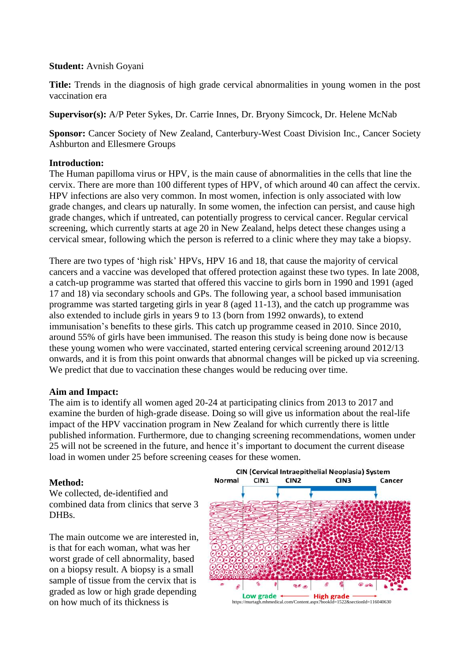#### **Student:** Avnish Goyani

**Title:** Trends in the diagnosis of high grade cervical abnormalities in young women in the post vaccination era

**Supervisor(s):** A/P Peter Sykes, Dr. Carrie Innes, Dr. Bryony Simcock, Dr. Helene McNab

**Sponsor:** Cancer Society of New Zealand, Canterbury-West Coast Division Inc., Cancer Society Ashburton and Ellesmere Groups

### **Introduction:**

The Human papilloma virus or HPV, is the main cause of abnormalities in the cells that line the cervix. There are more than 100 different types of HPV, of which around 40 can affect the cervix. HPV infections are also very common. In most women, infection is only associated with low grade changes, and clears up naturally. In some women, the infection can persist, and cause high grade changes, which if untreated, can potentially progress to cervical cancer. Regular cervical screening, which currently starts at age 20 in New Zealand, helps detect these changes using a cervical smear, following which the person is referred to a clinic where they may take a biopsy.

There are two types of 'high risk' HPVs, HPV 16 and 18, that cause the majority of cervical cancers and a vaccine was developed that offered protection against these two types. In late 2008, a catch-up programme was started that offered this vaccine to girls born in 1990 and 1991 (aged 17 and 18) via secondary schools and GPs. The following year, a school based immunisation programme was started targeting girls in year 8 (aged 11-13), and the catch up programme was also extended to include girls in years 9 to 13 (born from 1992 onwards), to extend immunisation's benefits to these girls. This catch up programme ceased in 2010. Since 2010, around 55% of girls have been immunised. The reason this study is being done now is because these young women who were vaccinated, started entering cervical screening around 2012/13 onwards, and it is from this point onwards that abnormal changes will be picked up via screening. We predict that due to vaccination these changes would be reducing over time.

### **Aim and Impact:**

The aim is to identify all women aged 20-24 at participating clinics from 2013 to 2017 and examine the burden of high-grade disease. Doing so will give us information about the real-life impact of the HPV vaccination program in New Zealand for which currently there is little published information. Furthermore, due to changing screening recommendations, women under 25 will not be screened in the future, and hence it's important to document the current disease load in women under 25 before screening ceases for these women.

### **Method:**

We collected, de-identified and combined data from clinics that serve 3 DHB<sub>s</sub>.

The main outcome we are interested in, is that for each woman, what was her worst grade of cell abnormality, based on a biopsy result. A biopsy is a small sample of tissue from the cervix that is graded as low or high grade depending